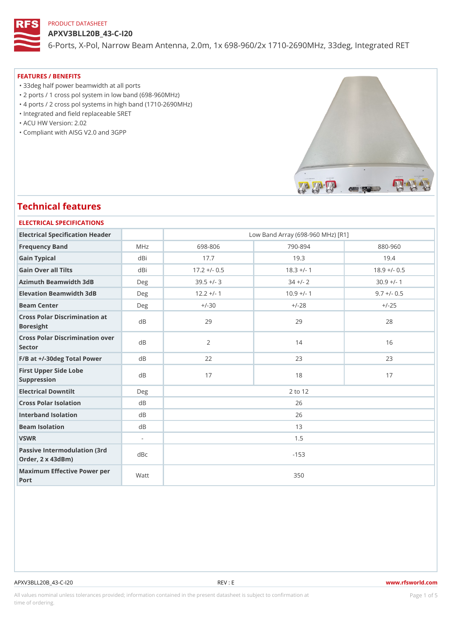APXV3BLL20B\_43-C-I20 6-Ports, X-Pol, Narrow Beam Antenna, 2.0m, 1x 698-960/2x 1710-2690M

#### FEATURES / BENEFITS

"33deg half power beamwidth at all ports

"2 ports / 1 cross pol system in low band (698-960MHz)

"4 ports / 2 cross pol systems in high band (1710-2690MHz)

"Integrated and field replaceable SRET

"ACU HW Version: 2.02

"Compliant with AISG V2.0 and 3GPP

# Technical features

| ELECTRICAL SPECIFICATIONS                    |                          |                                   |              |                |  |  |  |  |  |
|----------------------------------------------|--------------------------|-----------------------------------|--------------|----------------|--|--|--|--|--|
| Electrical Specification Header              |                          | Low Band Array (698-960 MHz) [R1] |              |                |  |  |  |  |  |
| Frequency Band                               | MHz                      | 698-806                           | $790 - 894$  | $880 - 960$    |  |  |  |  |  |
| Gain Typical                                 | dBi                      | 17.7                              | 19.3         | 19.4           |  |  |  |  |  |
| Gain Over all Tilts                          | dBi                      | $17.2 + (-0.5$                    | $18.3 +/- 1$ | $18.9 +/- 0.5$ |  |  |  |  |  |
| Azimuth Beamwidth 3dB                        | $D \in g$                | $39.5 +/- 3$                      | $34 +/- 2$   | $30.9 +/- 1$   |  |  |  |  |  |
| Elevation Beamwidth 3dB                      | Deg                      | $12.2 +/- 1$                      | $10.9$ +/- 1 | $9.7 +/- 0.5$  |  |  |  |  |  |
| Beam Center                                  | Deg                      | $+/-30$                           | $+/-28$      | $+/-25$        |  |  |  |  |  |
| Cross Polar Discrimination at<br>Boresight   |                          | 29                                | 29           | 28             |  |  |  |  |  |
| Cross Polar Discrimination over<br>Sector    |                          | 2                                 | 14           | 16             |  |  |  |  |  |
| $F/B$ at $+/-30$ deg Total Powerd B          |                          | 22                                | 23           | 23             |  |  |  |  |  |
| First Upper Side Lobe<br>Suppression         | d B                      | 17                                | 18           | 17             |  |  |  |  |  |
| Electrical Downtilt                          | Deg                      | 2 to 12                           |              |                |  |  |  |  |  |
| Cross Polar Isolation                        | d B                      | 26                                |              |                |  |  |  |  |  |
| Interband Isolation                          | d B                      | 26                                |              |                |  |  |  |  |  |
| Beam Isolation                               | d B                      | 13                                |              |                |  |  |  |  |  |
| VSWR                                         | $\overline{\phantom{a}}$ | 1.5                               |              |                |  |  |  |  |  |
| Passive Intermodulation<br>Order, 2 x 43dBm) | $(3rd)$ d B c            | $-153$                            |              |                |  |  |  |  |  |
| Maximum Effective Power per<br>Port          |                          | 350                               |              |                |  |  |  |  |  |

#### APXV3BLL20B\_43-C-I20 REV : E www.rfsworld.com

All values nominal unless tolerances provided; information contained in the present datasheet is subject to PcaogneionIm Sstid time of ordering.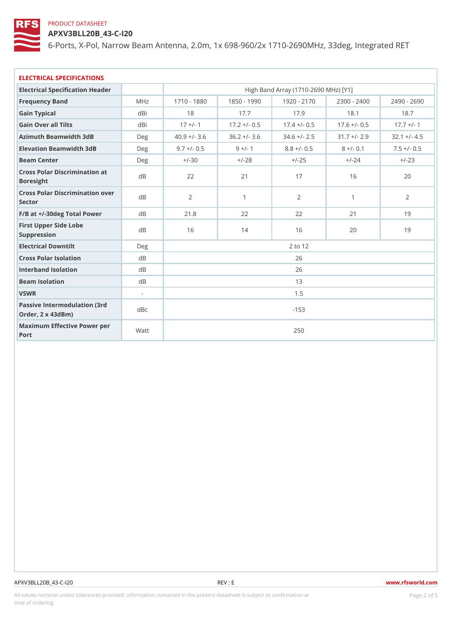APXV3BLL20B\_43-C-I20

6-Ports, X-Pol, Narrow Beam Antenna, 2.0m, 1x 698-960/2x 1710-2690M

| ELECTRICAL SPECIFICATIONS                             |                |                                      |           |               |              |                                                                    |  |  |  |
|-------------------------------------------------------|----------------|--------------------------------------|-----------|---------------|--------------|--------------------------------------------------------------------|--|--|--|
| Electrical Specification Header                       |                | High Band Array (1710-2690 MHz) [Y1] |           |               |              |                                                                    |  |  |  |
| Frequency Band                                        | MHz            |                                      |           |               |              | 1710 - 1880 1850 - 1990 1920 - 2170 2300 - 2400 2490 - 2690        |  |  |  |
| Gain Typical                                          | dBi            | 18                                   | 17.7      | 17.9          | 18.1         | 18.7                                                               |  |  |  |
| Gain Over all Tilts                                   | dBi            | $17 + (-1)$                          |           |               |              | $17.2 +/- 0.5$ 17.4 $+/- 0.5$ 17.6 $+/- 0.5$ 17.7 $+/- 1$          |  |  |  |
| Azimuth Beamwidth 3dB                                 | Deg            |                                      |           |               |              | $40.9 +/- 3.6$ 36.2 +/- 3.6 34.6 +/- 2.5 31.7 +/- 2.9 32.1 +/- 4.5 |  |  |  |
| Elevation Beamwidth 3dB                               | $D$ e q        | $9.7 + (-0.5$                        | $9 +/- 1$ | $8.8 + (-0.5$ | $8 +/- 0.1$  | $7.5 + (-0.5)$                                                     |  |  |  |
| Beam Center                                           | $D$ e q        | $+/-30$                              | $+/-28$   | $+/-25$       | $+/-24$      | $+/-23$                                                            |  |  |  |
| Cross Polar Discrimination at<br>Boresight            |                | 22                                   | 21        | 17            | 16           | 20                                                                 |  |  |  |
| Cross Polar Discrimination over<br>Sector             |                | 2                                    | 1         | 2             | $\mathbf{1}$ | $\overline{2}$                                                     |  |  |  |
| $F/B$ at $+/-30$ deg Total Powerd B                   |                | 21.8                                 | 22        | 22            | 21           | 19                                                                 |  |  |  |
| First Upper Side Lobe<br>Suppression                  | d B            | 16                                   | 14        | 16            | 20           | 19                                                                 |  |  |  |
| Electrical Downtilt                                   | Deg            | 2 to 12                              |           |               |              |                                                                    |  |  |  |
| Cross Polar Isolation                                 | $d \, B$       | 26                                   |           |               |              |                                                                    |  |  |  |
| Interband Isolation                                   | d B            | 26                                   |           |               |              |                                                                    |  |  |  |
| Beam Isolation                                        | d <sub>B</sub> | 13                                   |           |               |              |                                                                    |  |  |  |
| VSWR                                                  | $\sim$         | 1.5                                  |           |               |              |                                                                    |  |  |  |
| Passive Intermodulation (3rd dBc<br>Order, 2 x 43dBm) |                | $-153$                               |           |               |              |                                                                    |  |  |  |
| Maximum Effective Power per<br>Port                   |                | 250                                  |           |               |              |                                                                    |  |  |  |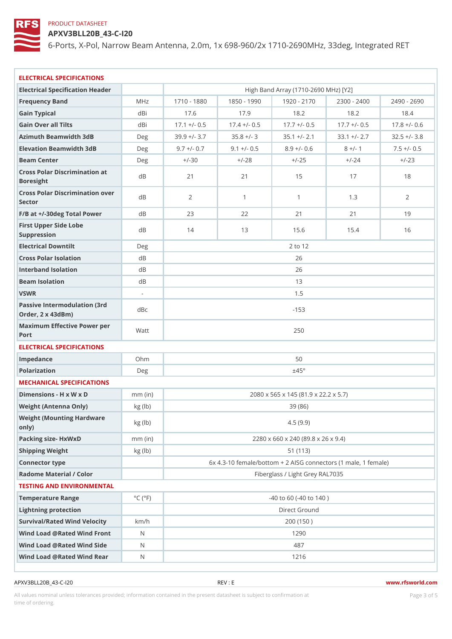APXV3BLL20B\_43-C-I20

6-Ports, X-Pol, Narrow Beam Antenna, 2.0m, 1x 698-960/2x 1710-2690M

| ELECTRICAL SPECIFICATIONS                                          |                             |                |                                    |                                           |           |                                                                            |  |  |
|--------------------------------------------------------------------|-----------------------------|----------------|------------------------------------|-------------------------------------------|-----------|----------------------------------------------------------------------------|--|--|
| Electrical Specification Header                                    |                             |                |                                    | High Band Array (1710-2690 MHz) [Y2]      |           |                                                                            |  |  |
| Frequency Band                                                     | M H z                       |                |                                    |                                           |           | 1710 - 1830 1850 - 1990 1920 - 2170 2300 - 2400 2490 - 2690                |  |  |
| Gain Typical                                                       | dBi                         | 17.6           | 17.9                               | 18.2                                      | 18.2      | 18.4                                                                       |  |  |
| Gain Over all Tilts                                                | dBi                         |                |                                    |                                           |           | 17.1 +/- $0.5$ 17.4 +/- $0.5$ 17.7 +/- $0.5$ 17.7 +/- $0.5$ 17.7 +/- $0.6$ |  |  |
| Azimuth Beamwidth 3dB                                              | Deg                         |                |                                    |                                           |           | $39.9 +/- 3.7$ $35.8 +/- 3$ $35.1 +/- 2.1$ $33.1 +/- 2.7$ $32.5 +/- 3.8$   |  |  |
| Elevation Beamwidth 3dB                                            | Deg                         |                |                                    | $9.7 +/- 0.7$ $9.1 +/- 0.5$ $8.9 +/- 0.6$ | $8 +/- 1$ | $7.5 +/- 0.15$                                                             |  |  |
| Beam Center                                                        | Deg                         | $+/-30$        | $+/-28$                            | $+/-25$                                   | $+/-24$   | $+/-23$                                                                    |  |  |
| Cross Polar Discrimination at<br>Boresight                         |                             | 21             | 21                                 | 15                                        | 17        | 18                                                                         |  |  |
| Cross Polar Discrimination over<br>Sector                          |                             | $\overline{2}$ | $\mathbf{1}$                       | $\mathbf{1}$                              | 1.3       | 2                                                                          |  |  |
| F/B at +/-30deg Total PowerdB                                      |                             | 23             | 22                                 | 21                                        | 21        | 19                                                                         |  |  |
| First Upper Side Lobe<br>Suppression                               | d B                         | 14             | 13                                 | 15.6                                      | 15.4      | 16                                                                         |  |  |
| Electrical Downtilt                                                | Deg                         |                |                                    | 2 to 12                                   |           |                                                                            |  |  |
| Cross Polar Isolation                                              | d B                         |                | 26                                 |                                           |           |                                                                            |  |  |
| Interband Isolation                                                | d B                         |                |                                    | 26                                        |           |                                                                            |  |  |
| Beam Isolation                                                     | d B                         |                |                                    | 13                                        |           |                                                                            |  |  |
| VSWR                                                               | $\sim$                      |                |                                    | 1.5                                       |           |                                                                            |  |  |
| Passive Intermodulation (3rd dBc<br>Order, 2 x 43dBm)              |                             |                |                                    | $-153$                                    |           |                                                                            |  |  |
| Maximum Effective Power per<br>Port                                |                             |                | 250                                |                                           |           |                                                                            |  |  |
| ELECTRICAL SPECIFICATIONS                                          |                             |                |                                    |                                           |           |                                                                            |  |  |
| Impedance                                                          | Ohm                         |                |                                    | 50                                        |           |                                                                            |  |  |
| Polarization                                                       | Deg                         |                |                                    | $\pm$ 45°                                 |           |                                                                            |  |  |
| MECHANICAL SPECIFICATIONS                                          |                             |                |                                    |                                           |           |                                                                            |  |  |
| Dimensions - H x W x D                                             | $mm$ (in)                   |                |                                    | 2080 x 565 x 145 (81.9 x 22.2 x 5.7)      |           |                                                                            |  |  |
| Weight (Antenna Only)                                              | $kg$ ( $ b $ )              |                |                                    | 39 (86)                                   |           |                                                                            |  |  |
| Weight (Mounting Hardware kg (lb)<br>$\circ$ n $\vert$ y $\rangle$ |                             |                |                                    | 4.5(9.9)                                  |           |                                                                            |  |  |
| Packing size- HxWxD                                                | $mm$ (in)                   |                | 2280 x 660 x 240 (89.8 x 26 x 9.4) |                                           |           |                                                                            |  |  |
| Shipping Weight                                                    | kg(lb)                      |                |                                    | 51 (113)                                  |           |                                                                            |  |  |
| Connector type                                                     |                             |                |                                    |                                           |           | 6x 4.3-10 female/bottom + 2 AISG connectors (1 male, 1                     |  |  |
| Radome Material / Color                                            |                             |                |                                    | Fiberglass / Light Grey RAL7035           |           |                                                                            |  |  |
| TESTING AND ENVIRONMENTAL                                          |                             |                |                                    |                                           |           |                                                                            |  |  |
| Temperature Range                                                  | $^{\circ}$ C ( $^{\circ}$ F |                |                                    | $-40$ to 60 ( $-40$ to 140)               |           |                                                                            |  |  |
| Lightning protection                                               |                             |                |                                    | Direct Ground                             |           |                                                                            |  |  |
| Survival/Rated Wind Velocikm/h                                     |                             |                |                                    | 200 (150)                                 |           |                                                                            |  |  |
| Wind Load @ Rated Wind FroNt                                       |                             |                |                                    | 1290                                      |           |                                                                            |  |  |
| Wind Load @ Rated Wind Sidb                                        |                             |                |                                    | 487                                       |           |                                                                            |  |  |
| Wind Load @ Rated Wind ReaN                                        |                             |                |                                    | 1216                                      |           |                                                                            |  |  |
|                                                                    |                             |                |                                    |                                           |           |                                                                            |  |  |

APXV3BLL20B\_43-C-I20 REV : E www.rfsworld.com

All values nominal unless tolerances provided; information contained in the present datasheet is subject to Pcaognéioßh Ssti time of ordering.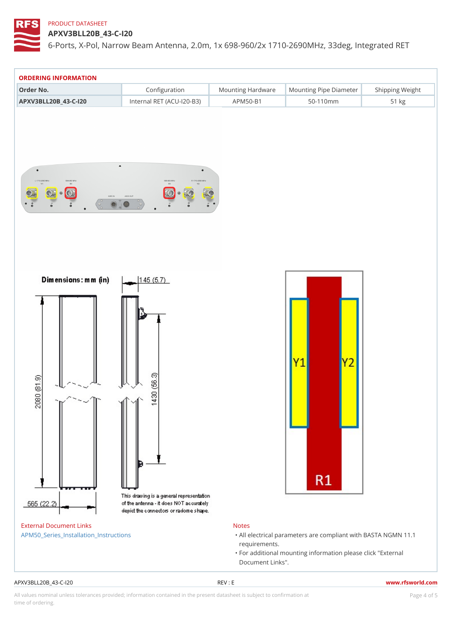APXV3BLL20B\_43-C-I20

6-Ports, X-Pol, Narrow Beam Antenna, 2.0m, 1x 698-960/2x 1710-2690M

| Configuration<br>Mounting HardwaMeunting Pipe D am Steipping Weight<br>Order No.<br>APXV3BLL20B_43-C-120 Internal RET (ACU-120-BA3P) M50-B1<br>$50 - 110$ m m<br>51 kg<br>External Document Links<br>Notes<br>APM50_Series_Installation_Instructions<br>"All electrical parameters are compliant with BAS'<br>requirements.<br>"For additional mounting information please click<br>Document Links".<br>$APXV3BLL20B_43-C-120$<br>REV : E<br>www.rfsworld.cor | ORDERING INFORMATION |  |  |  |  |
|---------------------------------------------------------------------------------------------------------------------------------------------------------------------------------------------------------------------------------------------------------------------------------------------------------------------------------------------------------------------------------------------------------------------------------------------------------------|----------------------|--|--|--|--|
|                                                                                                                                                                                                                                                                                                                                                                                                                                                               |                      |  |  |  |  |
|                                                                                                                                                                                                                                                                                                                                                                                                                                                               |                      |  |  |  |  |
|                                                                                                                                                                                                                                                                                                                                                                                                                                                               |                      |  |  |  |  |
|                                                                                                                                                                                                                                                                                                                                                                                                                                                               |                      |  |  |  |  |
|                                                                                                                                                                                                                                                                                                                                                                                                                                                               |                      |  |  |  |  |

All values nominal unless tolerances provided; information contained in the present datasheet is subject to Pcapgeins Antional time of ordering.